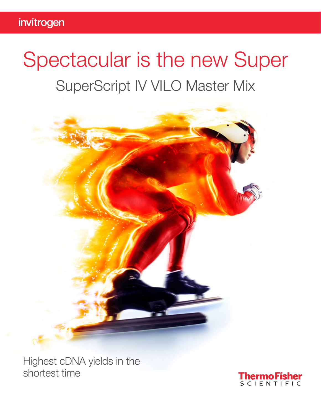# Spectacular is the new Super SuperScript IV VILO Master Mix



Highest cDNA yields in the shortest time

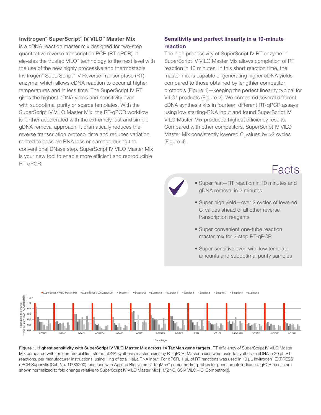#### Invitrogen™ SuperScript™ IV VILO™ Master Mix

is a cDNA reaction master mix designed for two-step quantitative reverse transcription PCR (RT-qPCR). It elevates the trusted VILO™ technology to the next level with the use of the new highly processive and thermostable Invitrogen™ SuperScript™ IV Reverse Transcriptase (RT) enzyme, which allows cDNA reaction to occur at higher temperatures and in less time. The SuperScript IV RT gives the highest cDNA yields and sensitivity even with suboptimal purity or scarce templates. With the SuperScript IV VILO Master Mix, the RT-qPCR workflow is further accelerated with the extremely fast and simple gDNA removal approach. It dramatically reduces the reverse transcription protocol time and reduces variation related to possible RNA loss or damage during the conventional DNase step. SuperScript IV VILO Master Mix is your new tool to enable more efficient and reproducible RT-qPCR.

#### Sensitivity and perfect linearity in a 10-minute reaction

The high processivity of SuperScript IV RT enzyme in SuperScript IV VILO Master Mix allows completion of RT reaction in 10 minutes. In this short reaction time, the master mix is capable of generating higher cDNA yields compared to those obtained by lengthier competitor protocols (Figure 1)—keeping the perfect linearity typical for VILO™ products (Figure 2). We compared several different cDNA synthesis kits in fourteen different RT-qPCR assays using low starting-RNA input and found SuperScript IV VILO Master Mix produced highest efficiency results. Compared with other competitors, SuperScript IV VILO Master Mix consistently lowered  $C_t$  values by  $>2$  cycles (Figure 4).

### Facts

- Super fast—RT reaction in 10 minutes and gDNA removal in 2 minutes
- Super high yield—over 2 cycles of lowered  $\mathrm C_{\mathrm t}$  values ahead of all other reverse transcription reagents
- Super convenient one-tube reaction master mix for 2-step RT-qPCR
- Super sensitive even with low template amounts and suboptimal purity samples



Figure 1. Highest sensitivity with SuperScript IV VILO Master Mix across 14 TaqMan gene targets. RT efficiency of SuperScript IV VILO Master Mix compared with ten commercial first strand cDNA synthesis master mixes by RT-qPCR. Master mixes were used to synthesize cDNA in 20 µL RT reactions, per manufacturer instructions, using 1 ng of total HeLa RNA input. For qPCR, 1 µL of RT reactions was used in 10 µL Invitrogen™ EXPRESS qPCR SuperMix (Cat. No. 11785200) reactions with Applied Biosystems™ TaqMan™ primer and/or probes for gene targets indicated. qPCR results are shown normalized to fold change relative to SuperScript IV VILO Master Mix [=1/(2^(C<sub>t</sub> SSIV VILO – C<sub>t</sub> Competitor))].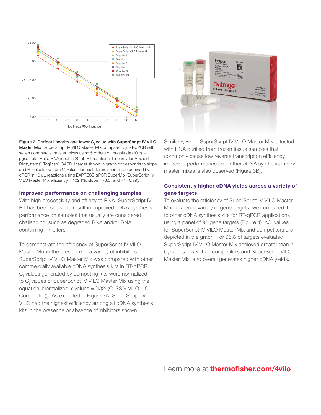



Figure 2. Perfect linearity and lower  $C_{t}$  value with SuperScript IV VILO Master Mix. SuperScript IV VILO Master Mix compared by RT-qPCR with seven commercial master mixes using 5 orders of magnitude (10 pg–1 µg) of total HeLa RNA input in 20 µL RT reactions. Linearity for Applied Biosystems™ TaqMan™ GAPDH target shown in graph corresponds to slope and R<sup>2</sup> calculated from  $C_{t}$  values for each formulation as determined by qPCR in 10 µL reactions using EXPRESS qPCR SuperMix (SuperScript IV VILO Master Mix efficiency = 102.1%, slope = -3.3, and  $R^2$  = 0.99).

#### Improved performance on challenging samples

With high processivity and affinity to RNA, SuperScript IV RT has been shown to result in improved cDNA synthesis performance on samples that usually are considered challenging, such as degraded RNA and/or RNA containing inhibitors.

To demonstrate the efficiency of SuperScript IV VILO Master Mix in the presence of a variety of inhibitors, SuperScript IV VILO Master Mix was compared with other commercially available cDNA synthesis kits in RT-qPCR.  $C<sub>t</sub>$  values generated by competing kits were normalized to C<sub>t</sub> values of SuperScript IV VILO Master Mix using the equation: Normalized Y values =  $[1/(2 \wedge (C_{t} \text{ SSIV VILO} - C_{t}))]$ Competitor))]. As exhibited in Figure 3A, SuperScript IV VILO had the highest efficiency among all cDNA synthesis kits in the presence or absence of inhibitors shown.

Similarly, when SuperScript IV VILO Master Mix is tested with RNA purified from frozen tissue samples that commonly cause low reverse transcription efficiency, improved performance over other cDNA synthesis kits or master mixes is also observed (Figure 3B).

#### Consistently higher cDNA yields across a variety of gene targets

To evaluate the efficiency of SuperScript IV VILO Master Mix on a wide variety of gene targets, we compared it to other cDNA synthesis kits for RT-qPCR applications using a panel of 96 gene targets (Figure 4).  $\Delta C_{t}^{\text{}}$  values for SuperScript IV VILO Master Mix and competitors are depicted in the graph. For 96% of targets evaluated, SuperScript IV VILO Master Mix achieved greater than 2  $C<sub>t</sub>$  values lower than competitors and SuperScript VILO Master Mix, and overall generates higher cDNA yields.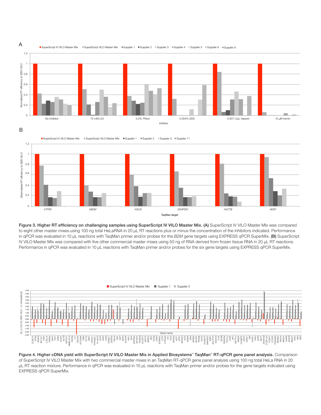



Figure 3. Higher RT efficiency on challenging samples using SuperScript IV VILO Master Mix. (A) SuperScript IV VILO Master MIx was compared to eight other master mixes.using 100 ng total HeLaRNA in 20 µL RT reactions plus or minus the concentration of the inhibitors indicated. Performance in qPCR was evaluated in 10 µL reactions with TaqMan primer and/or probes for the *B2M* gene targets using EXPRESS qPCR SuperMix. (B) SuperScript IV VILO Master MIx was compared with five other commercial master mixes using 50 ng of RNA derived from frozen tissue RNA in 20 µL RT reactions. Performance in qPCR was evaluated in 10 µL reactions with TaqMan primer and/or probes for the six gene targets using EXPRESS qPCR SuperMix.



Figure 4. Higher cDNA yield with SuperScript IV VILO Master Mix in Applied Biosystems™ TaqMan™ RT-qPCR gene panel analysis. Comparison of SuperScript IV VILO Master Mix with two commercial master mixes in an TaqMan RT-qPCR gene panel analysis using 100 ng total HeLa RNA in 20 µL RT reaction mixture. Performance in qPCR was evaluated in 10 µL reactions with TaqMan primer and/or probes for the gene targets indicated using EXPRESS qPCR SuperMix.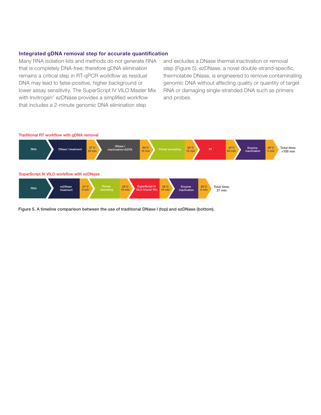#### Integrated gDNA removal step for accurate quantification

Many RNA isolation kits and methods do not generate RNA that is completely DNA-free; therefore gDNA elimination remains a critical step in RT-qPCR workflow as residual DNA may lead to false-positive, higher background or lower assay sensitivity. The SuperScript IV VILO Master Mix with Invitrogen™ ezDNase provides a simplified workflow that includes a 2-minute genomic DNA elimination step

and excludes a DNase thermal inactivation or removal step (Figure 5). ezDNase, a novel double-strand-specific, thermolabile DNase, is engineered to remove contaminating genomic DNA without affecting quality or quantity of target RNA or damaging single-stranded DNA such as primers and probes.



Figure 5. A timeline comparison between the use of traditional DNase I (top) and ezDNase (bottom).